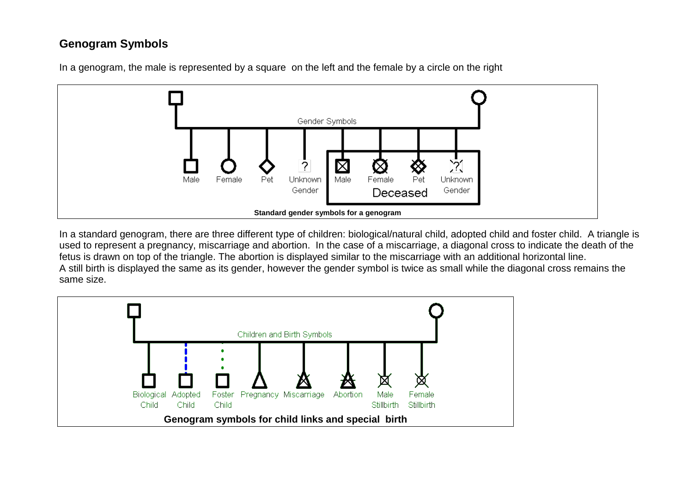### **Genogram Symbols**



In a genogram, the male is represented by a square on the left and the female by a circle on the right

In a standard genogram, there are three different type of children: biological/natural child, adopted child and foster child. A triangle is used to represent a pregnancy, miscarriage and abortion. In the case of a miscarriage, a diagonal cross to indicate the death of the fetus is drawn on top of the triangle. The abortion is displayed similar to the miscarriage with an additional horizontal line. A still birth is displayed the same as its gender, however the gender symbol is twice as small while the diagonal cross remains the same size.

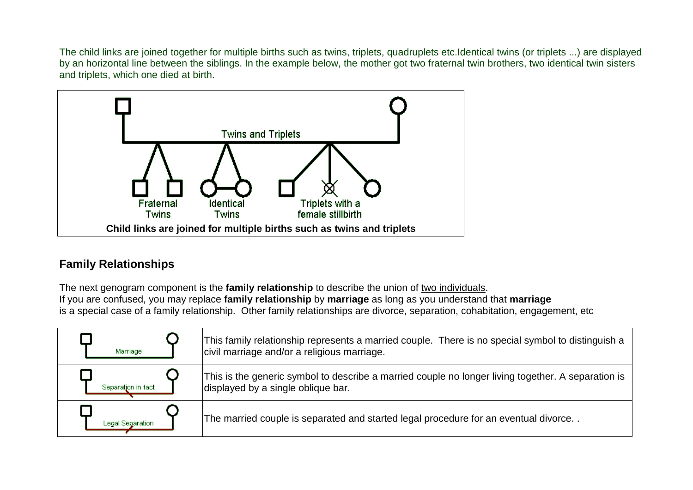The child links are joined together for multiple births such as twins, triplets, quadruplets etc.Identical twins (or triplets ...) are displayed by an horizontal line between the siblings. In the example below, the mother got two fraternal twin brothers, two identical twin sisters and triplets, which one died at birth.



#### **Family Relationships**

The next genogram component is the **family relationship** to describe the union of two individuals . If you are confused, you may replace **family relationship** by **marriage** as long as you understand that **marriage** is a special case of a family relationship. Other family relationships are divorce, separation, cohabitation, engagement, etc

| Marriage           | This family relationship represents a married couple. There is no special symbol to distinguish a<br>civil marriage and/or a religious marriage. |
|--------------------|--------------------------------------------------------------------------------------------------------------------------------------------------|
| Separation in fact | This is the generic symbol to describe a married couple no longer living together. A separation is<br>displayed by a single oblique bar.         |
| Legal Separation   | The married couple is separated and started legal procedure for an eventual divorce                                                              |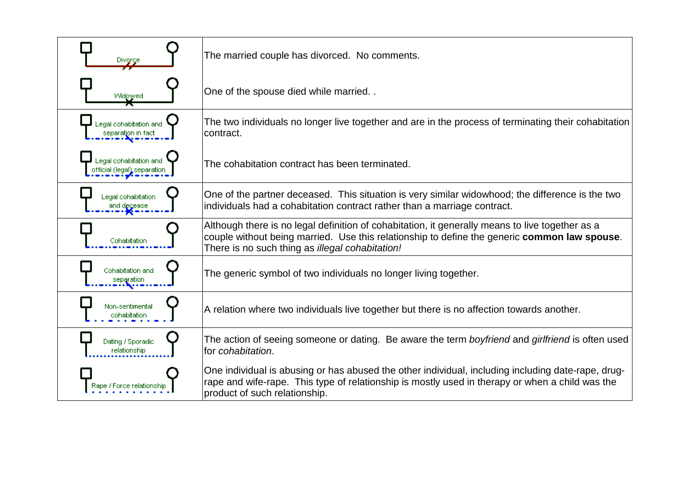| Divorce                                               | The married couple has divorced. No comments.                                                                                                                                                                                                      |
|-------------------------------------------------------|----------------------------------------------------------------------------------------------------------------------------------------------------------------------------------------------------------------------------------------------------|
| Widgwed                                               | One of the spouse died while married                                                                                                                                                                                                               |
| Legal cohabitation and<br>separation in fact          | The two individuals no longer live together and are in the process of terminating their cohabitation<br>contract.                                                                                                                                  |
| legal cohabitation and<br>official (legal) separation | The cohabitation contract has been terminated.                                                                                                                                                                                                     |
| Legal cohabitation<br>and decease                     | One of the partner deceased. This situation is very similar widowhood; the difference is the two<br>individuals had a cohabitation contract rather than a marriage contract.                                                                       |
| Cohabitation                                          | Although there is no legal definition of cohabitation, it generally means to live together as a<br>couple without being married. Use this relationship to define the generic common law spouse.<br>There is no such thing as illegal cohabitation! |
| Cohabitation and<br>separation                        | The generic symbol of two individuals no longer living together.                                                                                                                                                                                   |
| Non-sentimental<br>cohabitation                       | A relation where two individuals live together but there is no affection towards another.                                                                                                                                                          |
| Dating / Sporadic<br>relationship                     | The action of seeing someone or dating. Be aware the term boyfriend and girlfriend is often used<br>for cohabitation.                                                                                                                              |
| Rape / Force relationshi                              | One individual is abusing or has abused the other individual, including including date-rape, drug-<br>rape and wife-rape. This type of relationship is mostly used in therapy or when a child was the<br>product of such relationship.             |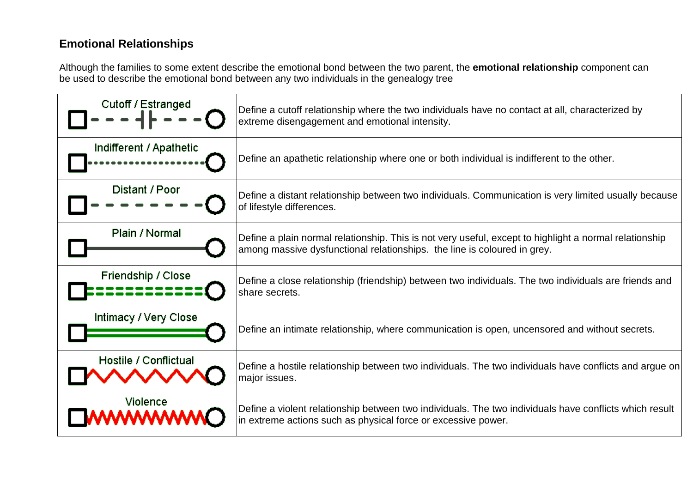# **Emotional Relationships**

Although the families to some extent describe the emotional bond between the two parent, the **emotional relationship** component can be used to describe the emotional bond between any two individuals in the genealogy tree

| Cutoff / Estranged      | Define a cutoff relationship where the two individuals have no contact at all, characterized by<br>extreme disengagement and emotional intensity.                                  |
|-------------------------|------------------------------------------------------------------------------------------------------------------------------------------------------------------------------------|
| Indifferent / Apathetic | Define an apathetic relationship where one or both individual is indifferent to the other.                                                                                         |
| Distant / Poor          | Define a distant relationship between two individuals. Communication is very limited usually because<br>of lifestyle differences.                                                  |
| Plain / Normal          | Define a plain normal relationship. This is not very useful, except to highlight a normal relationship<br>among massive dysfunctional relationships. the line is coloured in grey. |
| Friendship / Close      | Define a close relationship (friendship) between two individuals. The two individuals are friends and<br>share secrets.                                                            |
| Intimacy / Very Close   | Define an intimate relationship, where communication is open, uncensored and without secrets.                                                                                      |
| Hostile / Conflictual   | Define a hostile relationship between two individuals. The two individuals have conflicts and argue on<br>major issues.                                                            |
| Violence<br>wwww        | Define a violent relationship between two individuals. The two individuals have conflicts which result<br>in extreme actions such as physical force or excessive power.            |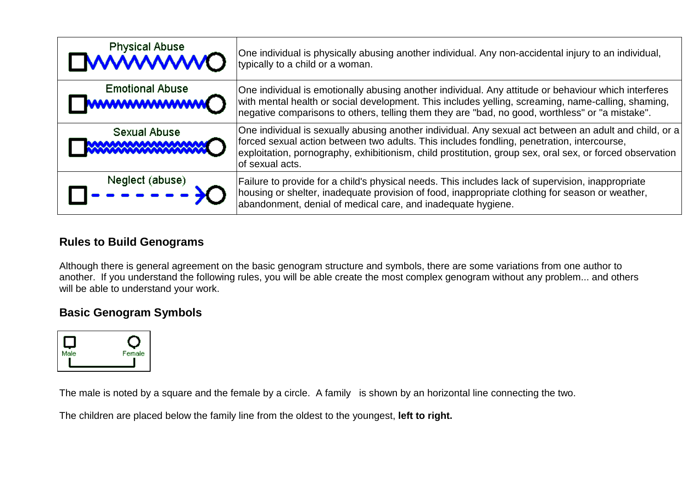| <b>Physical Abuse</b><br><b>DWWWWO</b>        | One individual is physically abusing another individual. Any non-accidental injury to an individual,<br>typically to a child or a woman.                                                                                                                                                                                            |
|-----------------------------------------------|-------------------------------------------------------------------------------------------------------------------------------------------------------------------------------------------------------------------------------------------------------------------------------------------------------------------------------------|
| <b>Emotional Abuse</b><br><b>WWWWWWWWO</b>    | One individual is emotionally abusing another individual. Any attitude or behaviour which interferes<br>with mental health or social development. This includes yelling, screaming, name-calling, shaming,<br>negative comparisons to others, telling them they are "bad, no good, worthless" or "a mistake".                       |
| Sexual Abuse<br><b>MAAAAAAAAAAAAAAAAAAAAA</b> | One individual is sexually abusing another individual. Any sexual act between an adult and child, or a<br>forced sexual action between two adults. This includes fondling, penetration, intercourse,<br>exploitation, pornography, exhibitionism, child prostitution, group sex, oral sex, or forced observation<br>of sexual acts. |
| Neglect (abuse)<br>$= 2.5$                    | Failure to provide for a child's physical needs. This includes lack of supervision, inappropriate<br>housing or shelter, inadequate provision of food, inappropriate clothing for season or weather,<br>abandonment, denial of medical care, and inadequate hygiene.                                                                |

## **Rules to Build Genograms**

Although there is general agreement on the basic genogram structure and symbols, there are some variations from one author to another. If you understand the following rules, you will be able create the most complex genogram without any problem... and others will be able to understand your work.

### **Basic Genogram Symbols**



The male is noted by a square and the female by a circle. A family is shown by an horizontal line connecting the two.

The children are placed below the family line from the oldest to the youngest, **left to right.**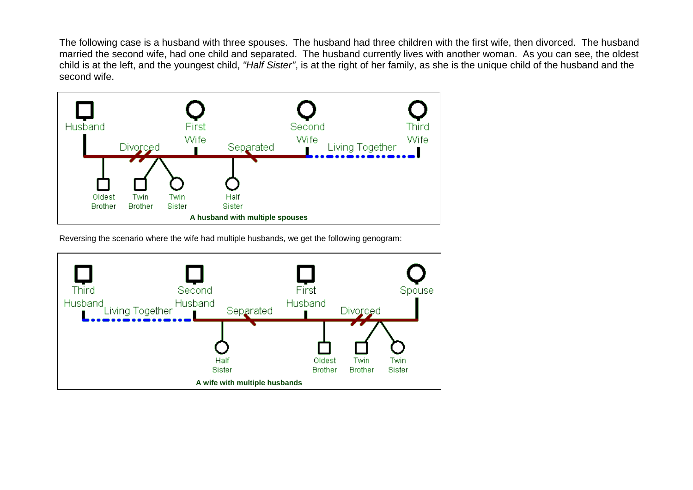The following case is a husband with three spouses. The husband had three children with the first wife, then divorced. The husband married the second wife, had one child and separated. The husband currently lives with another woman. As you can see, the oldest child is at the left, and the youngest child, *"Half Sister"*, is at the right of her family, as she is the unique child of the husband and the second wife.



Reversing the scenario where the wife had multiple husbands, we get the following genogram: